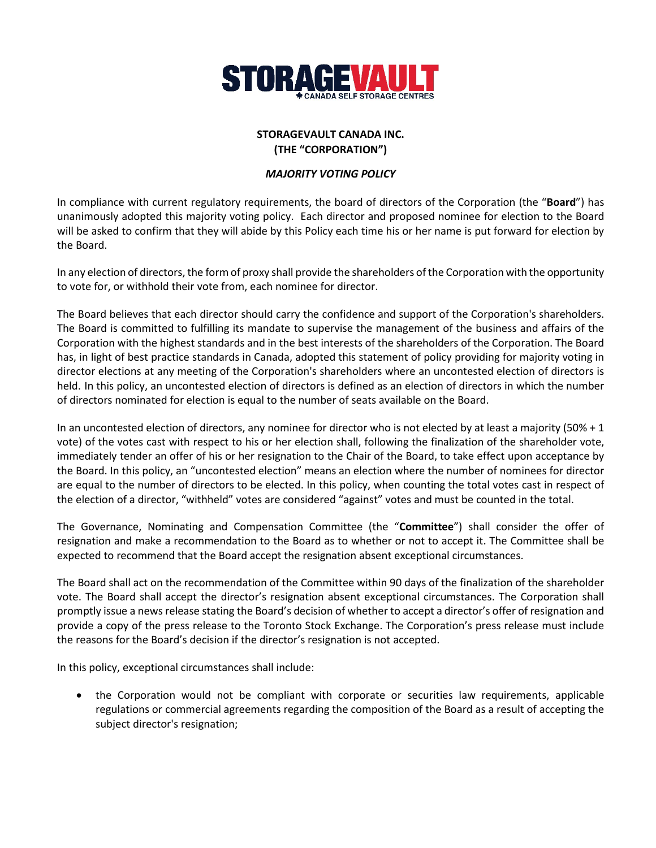

## **STORAGEVAULT CANADA INC. (THE "CORPORATION")**

## *MAJORITY VOTING POLICY*

In compliance with current regulatory requirements, the board of directors of the Corporation (the "**Board**") has unanimously adopted this majority voting policy. Each director and proposed nominee for election to the Board will be asked to confirm that they will abide by this Policy each time his or her name is put forward for election by the Board.

In any election of directors, the form of proxy shall provide the shareholders of the Corporation with the opportunity to vote for, or withhold their vote from, each nominee for director.

The Board believes that each director should carry the confidence and support of the Corporation's shareholders. The Board is committed to fulfilling its mandate to supervise the management of the business and affairs of the Corporation with the highest standards and in the best interests of the shareholders of the Corporation. The Board has, in light of best practice standards in Canada, adopted this statement of policy providing for majority voting in director elections at any meeting of the Corporation's shareholders where an uncontested election of directors is held. In this policy, an uncontested election of directors is defined as an election of directors in which the number of directors nominated for election is equal to the number of seats available on the Board.

In an uncontested election of directors, any nominee for director who is not elected by at least a majority (50% + 1 vote) of the votes cast with respect to his or her election shall, following the finalization of the shareholder vote, immediately tender an offer of his or her resignation to the Chair of the Board, to take effect upon acceptance by the Board. In this policy, an "uncontested election" means an election where the number of nominees for director are equal to the number of directors to be elected. In this policy, when counting the total votes cast in respect of the election of a director, "withheld" votes are considered "against" votes and must be counted in the total.

The Governance, Nominating and Compensation Committee (the "**Committee**") shall consider the offer of resignation and make a recommendation to the Board as to whether or not to accept it. The Committee shall be expected to recommend that the Board accept the resignation absent exceptional circumstances.

The Board shall act on the recommendation of the Committee within 90 days of the finalization of the shareholder vote. The Board shall accept the director's resignation absent exceptional circumstances. The Corporation shall promptly issue a news release stating the Board's decision of whether to accept a director's offer of resignation and provide a copy of the press release to the Toronto Stock Exchange. The Corporation's press release must include the reasons for the Board's decision if the director's resignation is not accepted.

In this policy, exceptional circumstances shall include:

• the Corporation would not be compliant with corporate or securities law requirements, applicable regulations or commercial agreements regarding the composition of the Board as a result of accepting the subject director's resignation;